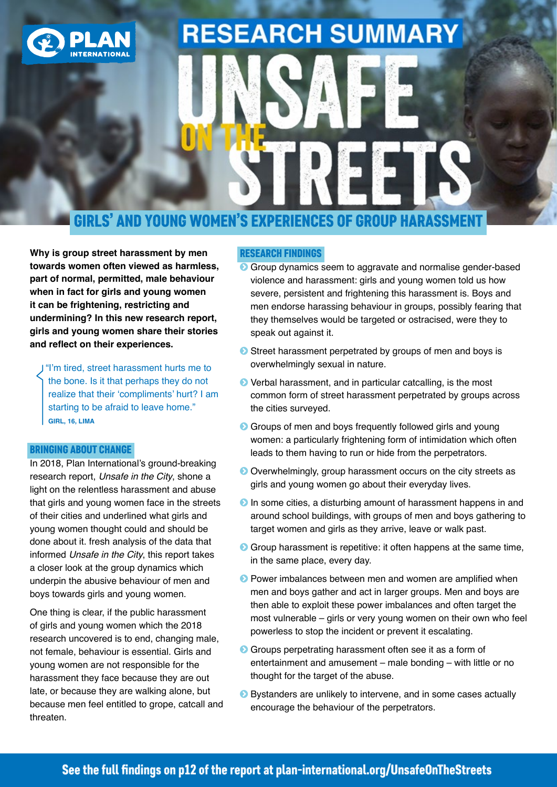

# **RESEARCH SUMMARY**

### GIRLS' AND YOUNG WOMEN'S EXPERIENCES OF GROUP HARASS

**Why is group street harassment by men towards women often viewed as harmless, part of normal, permitted, male behaviour when in fact for girls and young women it can be frightening, restricting and undermining? In this new research report, girls and young women share their stories and reflect on their experiences.**

 "I'm tired, street harassment hurts me to the bone. Is it that perhaps they do not realize that their 'compliments' hurt? I am starting to be afraid to leave home." **GIRL, 16, LIMA**

### BRINGING ABOUT CHANGE

In 2018, Plan International's ground-breaking research report, *[Unsafe in the City](https://plan-international.org/unsafe-city)*, shone a light on the relentless harassment and abuse that girls and young women face in the streets of their cities and underlined what girls and young women thought could and should be done about it. fresh analysis of the data that informed *Unsafe in the City*, this report takes a closer look at the group dynamics which underpin the abusive behaviour of men and boys towards girls and young women.

One thing is clear, if the public harassment of girls and young women which the 2018 research uncovered is to end, changing male, not female, behaviour is essential. Girls and young women are not responsible for the harassment they face because they are out late, or because they are walking alone, but because men feel entitled to grope, catcall and threaten.

### RESEARCH FINDINGS

- **Group dynamics seem to aggravate and normalise gender-based** violence and harassment: girls and young women told us how severe, persistent and frightening this harassment is. Boys and men endorse harassing behaviour in groups, possibly fearing that they themselves would be targeted or ostracised, were they to speak out against it.
- **◯** Street harassment perpetrated by groups of men and boys is overwhelmingly sexual in nature.
- **•** Verbal harassment, and in particular catcalling, is the most common form of street harassment perpetrated by groups across the cities surveyed.
- **•** Groups of men and boys frequently followed girls and young women: a particularly frightening form of intimidation which often leads to them having to run or hide from the perpetrators.
- **O** Overwhelmingly, group harassment occurs on the city streets as girls and young women go about their everyday lives.
- **O** In some cities, a disturbing amount of harassment happens in and around school buildings, with groups of men and boys gathering to target women and girls as they arrive, leave or walk past.
- **•** Group harassment is repetitive: it often happens at the same time, in the same place, every day.
- **•** Power imbalances between men and women are amplified when men and boys gather and act in larger groups. Men and boys are then able to exploit these power imbalances and often target the most vulnerable – girls or very young women on their own who feel powerless to stop the incident or prevent it escalating.
- **•** Groups perpetrating harassment often see it as a form of entertainment and amusement – male bonding – with little or no thought for the target of the abuse.
- ĥ Bystanders are unlikely to intervene, and in some cases actually encourage the behaviour of the perpetrators.